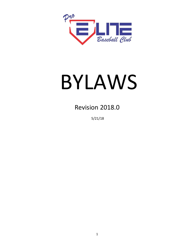

# BYLAWS

Revision 2018.0

5/21/18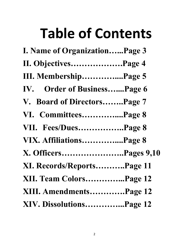## **Table of Contents**

| I. Name of OrganizationPage 3 |
|-------------------------------|
| II. ObjectivesPage 4          |
| III. MembershipPage 5         |
| IV. Order of BusinessPage 6   |
| V. Board of DirectorsPage 7   |
| VI. CommitteesPage 8          |
| VII. Fees/DuesPage 8          |
| VIX. AffiliationsPage 8       |
| X. OfficersPages 9,10         |
| XI. Records/ReportsPage 11    |
| XII. Team ColorsPage 12       |
| XIII. AmendmentsPage 12       |
| XIV. DissolutionsPage 12      |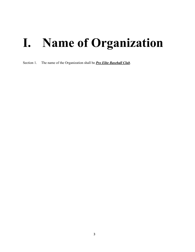#### **I. Name of Organization**

Section 1. The name of the Organization shall be *Pro Elite Baseball Club*.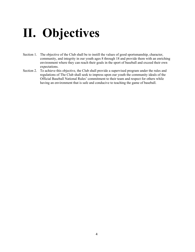## **II. Objectives**

- Section 1. The objective of the Club shall be to instill the values of good sportsmanship, character, community, and integrity in our youth ages 8 through 18 and provide them with an enriching environment where they can reach their goals in the sport of baseball and exceed their own expectations.
- Section 2. To achieve this objective, the Club shall provide a supervised program under the rules and regulations of The Club shall seek to impress upon our youth the community ideals of the Official Baseball National Rules' commitment to their team and respect for others while having an environment that is safe and conducive to teaching the game of baseball.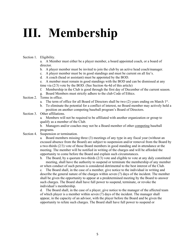## **III. Membership**

Section 1. Eligibility.

a. A Member must either be a player member, a board appointed coach, or a board of director.

- b. A player member must be invited to join the club by an active head coach/manager.
- c. A player member must be in good standings and must be current on all fee's.
- d. A coach (head or assistant) must be appointed by the BOD.

e. A member must remain in good standings with the BOD and can be dismissed at any time via (2/3) vote by the BOD. (See Section 4a-4d of this article)

- f. Membership in the Club is good through the first day of December of the current season.
- g. Board Members must strictly adhere to the club Code of Ethics.
- Section 2. Terms in office.
	- a. The term of office for all Board of Directors shall be two  $(2)$  years ending on March  $1^{st}$ .
	- b. To eliminate the potential for a conflict of interest, no Board member may actively hold a position on another competing baseball program's Board of Directors.
- Section 3. Other affiliations.

a. Members will not be required to be affiliated with another organization or group to qualify as a member of the Club.

b. Managers and/or coaches may not be a Board member of other competing baseball programs.

Section 4. Suspension or termination.

a. Board members missing three (3) meetings of any type in any fiscal year (without an excused absence from the Board) are subject to suspension and/or removal from the Board by a two-thirds (2/3) vote of those Board members in good standing and in attendance at the meeting. The member will be notified in writing of the charges and will be afforded the opportunity to come before the Board and explain such circumstances.

b. The Board, by a quorum two-thirds (2/3) vote and eligible to vote at any duly constituted meeting, shall have the authority to suspend or terminate the membership of any member or when conduct of such person is considered detrimental to the best interest of the Club.

c. The Board shall, in the case of a member, give notice to the individual in writing and describe the general nature of the charges within seven (7) days of the incident. The member shall be given the opportunity to appear at a predetermined meeting by the Board to answer such charges. The Board shall have full power to suspend, terminate, or revoke the individual's membership.

d. The Board shall, in the case of a player, give notice to the manager of the affected team of which player is a member within seven (7) days of the incident. The manager shall appear, in the capacity of an advisor, with the player before the Board and be given the opportunity to refute such charges. The Board shall have full power to suspend or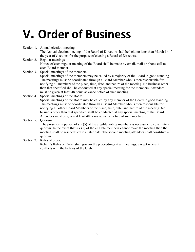#### **V. Order of Business**

- Section 1. Annual election meeting. The Annual election meeting of the Board of Directors shall be held no later than March 1<sup>st</sup> of the year of elections for the purpose of electing a Board of Directors.
- Section 2. Regular meetings. Notice of each regular meeting of the Board shall be made by email, mail or phone call to each Board member.
- Section 3. Special meetings of the members. Special meetings of the members may be called by a majority of the Board in good standing. The meetings must be coordinated through a Board Member who is then responsible for notifying all members of the place, time, date, and nature of the meeting. No business other than that specified shall be conducted at any special meeting for the members. Attendees must be given at least 48 hours advance notice of such meeting.
- Section 4. Special meetings of the Board. Special meetings of the Board may be called by any member of the Board in good standing. The meetings must be coordinated through a Board Member who is then responsible for notifying all other Board Members of the place, time, date, and nature of the meeting. No business other than that specified shall be conducted at any special meeting of the Board. Attendees must be given at least 48 hours advance notice of such meeting.
- Section 5. Ouorum. The presence in person of six (5) of the eligible voting members is necessary to constitute a quorum. In the event that six  $(5)$  of the eligible members cannot make the meeting then the meeting shall be rescheduled to a later date. The second meeting attendees shall constitute a quorum.
- Section 7. Rules of order.

Robert's Rules of Order shall govern the proceedings at all meetings, except where it conflicts with the bylaws of the Club.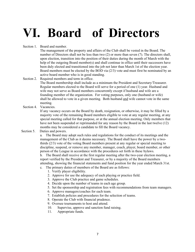## **VI. Board of Directors**

Section 1. Board and number.

The management of the property and affairs of the Club shall be vested in the Board. The number of Directors shall not be less than two (2) or more than seven (7). The directors shall, upon election, transition into the position of their duties during the month of March with the help of the outgoing Board member(s) and shall continue in office until their successors have been duly elected and transitioned into the job not later than March 1st of the election year. Board members must be elected by the BOD via  $(2/3)$  vote and must first be nominated by an active board member who is in good standing.

Section 2. Required members and term in office.

The Board membership shall include as a minimum the President and Secretary/Treasurer. Regular members elected to the Board will serve for a period of one (1) year. Husband and wife may not serve as Board members concurrently except if husband and wife are a founding member of the organization. For voting purposes, only one (husband or wife) shall be allowed to vote in a given meeting. Both husband and wife cannot vote in the same meeting.

Section 4. Vacancies.

If any vacancy occurs on the Board by death, resignation, or otherwise, it may be filled by a majority vote of the remaining Board members eligible to vote at any regular meeting, at any special meeting called for that purpose, or at the annual election meeting. Only members that have not been suspended or reprimanded for any reason by the Board in the last twelve (12) months may be considered a candidate to fill the Board vacancy.

Section 5. Duties and powers.

a. The Board may adopt such rules and regulations for the conduct of its meetings and the management of the Club as it deems necessary. The Board shall have the power by a twothirds (2/3) vote of the voting Board members present at any regular or special meeting to discipline, suspend, or remove any member, manager, coach, player, board member, or other person of the League in accordance with the procedures set forth in these bylaws.

b. The Board shall receive at the first regular meeting after the two-year election meeting, a report verified by the President and Treasurer, or by a majority of the Board members attending, showing the financial statements and fund position for the year ended March 31st.

- c. The primary duties of members of the Board are as follows:
	- 1. Verify player eligibility.
	- 2. Approve for use the adequacy of each playing or practice field.
	- 3. Approve the Club practice and game schedules.
	- 4. Decide upon the number of teams in each age group.
	- 5. Set the sponsorship and registration fees with recommendations from team managers.
	- 6. Approve managers/coaches for each team.
	- 7. Establish policies and procedures for the selection of teams.
	- 8. Operate the Club with financial prudence.
	- 9. Oversee tournaments to host and attend.
	- 10. Supervise, approve and sanction fund raising.
	- 11. Appropriate funds.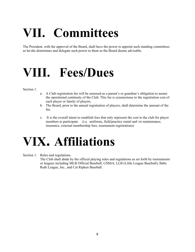## **VII. Committees**

The President, with the approval of the Board, shall have the power to appoint such standing committees as he/she determines and delegate such power to them as the Board deems advisable.

#### **VIII. Fees/Dues**

Section 1.

- a. A Club registration fee will be assessed as a parent's or guardian's obligation to assure the operational continuity of the Club. This fee is synonymous to the registration cost of each player or family of players.
- b. The Board, prior to the annual registration of players, shall determine the amount of the fee.
- c. It is the overall intent to establish fees that only represent the cost to the club for player members to participate. (i.e. uniforms, field/practice rental and /or maintenance, insurance, external membership fees, tournament registrations)

#### **VIX. Affiliations**

Section 1. Rules and regulations.

The Club shall abide by the official playing rules and regulations as set forth by tournaments or leagues including MLB Official Baseball, USSSA, LLB (Little League Baseball), Babe Ruth League, Inc., and Cal Ripken Baseball.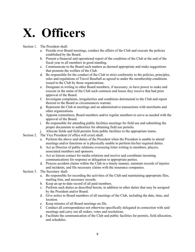#### **X. Officers**

Section 1. The President shall:

- a. Preside over Board meetings, conduct the affairs of the Club and execute the policies established by the Board.
- b. Present a financial and operational report of the condition of the Club at the end of the fiscal year to all members in good standing.
- c. Communicate to the Board such matters as deemed appropriate and make suggestions that promote the welfare of the Club.
- d. Be responsible for the conduct of the Club in strict conformity to the policies, principles, rules and regulations of Travel Baseball as agreed to under the membership conditions issued to the Club by those organizations.
- e. Designate in writing to other Board members, if necessary, to have power to make and execute in the name of the Club such contracts and leases they receive that had prior approval of the Board.
- f. Investigate complaints, irregularities and conditions detrimental to the Club and report thereon to the Board as circumstances warrant.
- g. Represent the Club at meetings and on administrative transactions with merchants and other organizations.
- h. Appoint committees, Board members and/or regular members to serve as needed with the approval of the Board.
- i. Be responsible for attending public facilities meetings for field use and submitting the proper documents to authorities for obtaining field use permits.
- j. Allocate fields and field permits from public facilities to the appropriate teams.
- Section 2. The Vice President (if office will exist) shall:
	- a. Perform the above said duties of the President when the President is unable to attend meetings and/or functions or is physically unable to perform his/her required duties.
	- b. Act as Director of public relations overseeing letter writing to members, players, associated members and sponsors.
	- c. Act as liaison contact for media relations and receive and coordinate incoming communications for response or delegation to appropriate parties.
	- d. Process accident claims within the Club in a timely manner, maintain records of injuries and incidents, and file necessary claims with the insurance companies.
- Section 3. The Secretary shall:
	- a. Be responsible for recording the activities of the Club and maintaining appropriate files, mailing lists, and necessary records.
	- b. Keep an up-to-date record of all paid members.
	- c. Perform such duties as described herein, in addition to other duties that may be assigned by the President and/or Board.
	- d. Give notice to Board members of all meetings of the Club, including the date, time, and location.
	- e. Keep minutes of all Board meetings on file.
	- f. Conduct all correspondence not otherwise specifically delegated in connection with said meetings and carry out all orders, votes and resolutions.
	- g. Facilitate the communication of the Club and public facilities for permits, field allocation, and schedules.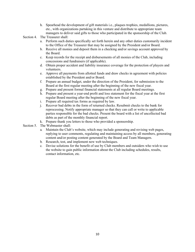h. Spearhead the development of gift materials i.e., plaques trophies, medallions, pictures, etc., with organizations partaking in this venture and distribute to appropriate team managers to deliver said gifts to those who participated in the sponsorship of the Club.

Section 4. The Treasurer shall:

- a. Perform such duties specifically set forth herein and any other duties customarily incident to the Office of the Treasurer that may be assigned by the President and/or Board.
- b. Receive all monies and deposit them in a checking and/or savings account approved by the Board.
- c. Keep records for the receipt and disbursements of all monies of the Club, including concessions and fundraisers (if applicable).
- d. Obtain proper accident and liability insurance coverage for the protection of players and volunteers.
- e. Approve all payments from allotted funds and draw checks in agreement with policies established by the President and/or Board.
- f. Prepare an annual budget, under the direction of the President, for submission to the Board at the first regular meeting after the beginning of the new fiscal year.
- g. Prepare and present formal financial statements at all regular Board meetings.
- h. Prepare and present a year-end profit and loss statement for the fiscal year at the first regular Board meeting after the beginning of the new fiscal year.
- i. Prepare all required tax forms as required by law.
- j. Recover bad debts in the form of returned checks. Resubmit checks to the bank for reprocessing. Notify appropriate manager so that they can call or write to applicable parties responsible for the bad checks. Present the board with a list of uncollected bad debts as part of the monthly financial report.
- k. Prepare thank you letters to those who provided a sponsorship.
- Section 5. The Webmaster shall:
	- a. Maintain the Club's website, which may include generating and revising web pages, replying to user comments, regulating and maintaining access by all members, generating content and/or posting content generated by the Board and Team Managers.
	- b. Research, test, and implement new web techniques.
	- c. Devise solutions for the benefit of use by Club members and outsiders who wish to use the website to gain public information about the Club including schedules, results, contact information, etc.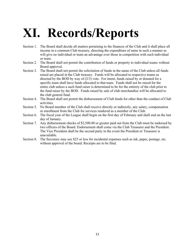## **XI. Records/Reports**

- Section 1. The Board shall decide all matters pertaining to the finances of the Club and it shall place all income in a common Club treasury, directing the expenditure of same in such a manner as will give no individual or team an advantage over those in competition with such individual or team.
- Section 2. The Board shall not permit the contribution of funds or property to individual teams without Board approval.
- Section 3. The Board shall not permit the solicitation of funds in the name of the Club unless all funds raised are placed in the Club treasury. Funds will be allocated to respective teams as directed by the BOD by way of  $(2/3)$  vote. For intent, funds raised by or donated for a specific team shall have funds allocated to that team. Funds shall not be raised for the entire club unless a such fund raiser is determined to be for the entirety of the club prior to the fund raiser by the BOD. Funds raised by sale of club merchandise will be allocated to the club general fund.
- Section 4. The Board shall not permit the disbursement of Club funds for other than the conduct of Club activities.
- Section 5. No Board member of the Club shall receive directly or indirectly, any salary, compensation or enrollment from the Club for services rendered as a member of the Club.
- Section 6. The fiscal year of the League shall begin on the first day of February and shall end on the last day of January.
- Section 7. Any disbursement checks of \$2,500.00 or greater paid out from the Club must be endorsed by two officers of the Board. Endorsement shall come via the Club Treasurer and the President. The Vice President shall be the second party in the event the President or Treasurer is unavailable.
- Section 8. The Secretary may use \$25 or less for incidental expenses such as ink, paper, postage, etc. without approval of the board. Receipts are to be filed.